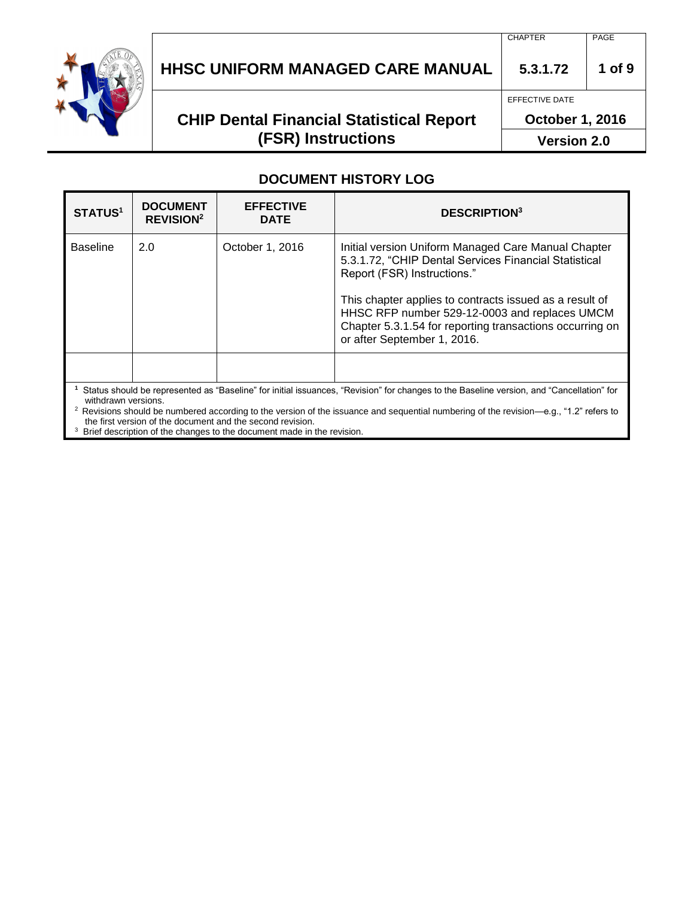

# **HHSC UNIFORM MANAGED CARE MANUAL 5.3.1.72 1 of 9**

## **CHIP Dental Financial Statistical Report (FSR) Instructions**

EFFECTIVE DATE

**October 1, 2016**

**Version 2.0**

### **DOCUMENT HISTORY LOG**

| <b>STATUS1</b>                                                                                                                                    | <b>DOCUMENT</b><br><b>REVISION<sup>2</sup></b> | <b>EFFECTIVE</b><br><b>DATE</b> | <b>DESCRIPTION3</b>                                                                                                                                                                                                                                                                                                                                |  |  |  |
|---------------------------------------------------------------------------------------------------------------------------------------------------|------------------------------------------------|---------------------------------|----------------------------------------------------------------------------------------------------------------------------------------------------------------------------------------------------------------------------------------------------------------------------------------------------------------------------------------------------|--|--|--|
| <b>Baseline</b>                                                                                                                                   | 2.0                                            | October 1, 2016                 | Initial version Uniform Managed Care Manual Chapter<br>5.3.1.72, "CHIP Dental Services Financial Statistical<br>Report (FSR) Instructions."<br>This chapter applies to contracts issued as a result of<br>HHSC RFP number 529-12-0003 and replaces UMCM<br>Chapter 5.3.1.54 for reporting transactions occurring on<br>or after September 1, 2016. |  |  |  |
| withdrawn versions.                                                                                                                               |                                                |                                 | Status should be represented as "Baseline" for initial issuances, "Revision" for changes to the Baseline version, and "Cancellation" for                                                                                                                                                                                                           |  |  |  |
| <sup>2</sup> Revisions should be numbered according to the version of the issuance and sequential numbering of the revision—e.g., "1.2" refers to |                                                |                                 |                                                                                                                                                                                                                                                                                                                                                    |  |  |  |

the first version of the document and the second revision.

<sup>3</sup> Brief description of the changes to the document made in the revision.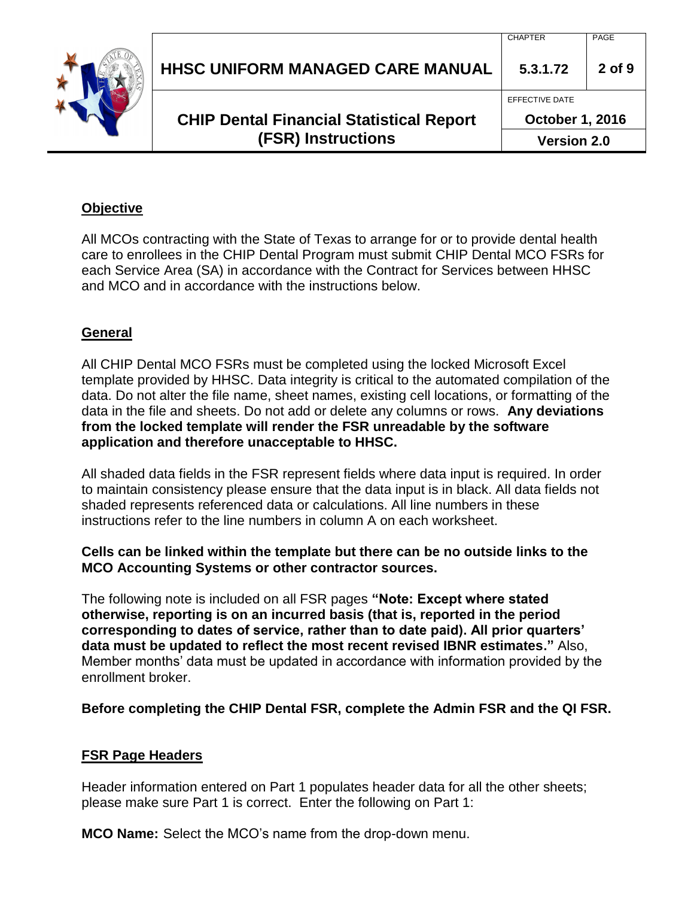| <b>HHSC UNIFORM MANAGED CARE MANUAL</b>                                      | 5.3.1.72                                                       | $2$ of $9$ |
|------------------------------------------------------------------------------|----------------------------------------------------------------|------------|
| <b>CHIP Dental Financial Statistical Report</b><br><b>(FSR) Instructions</b> | EFFECTIVE DATE<br><b>October 1, 2016</b><br><b>Version 2.0</b> |            |
|                                                                              |                                                                |            |

### **Objective**

All MCOs contracting with the State of Texas to arrange for or to provide dental health care to enrollees in the CHIP Dental Program must submit CHIP Dental MCO FSRs for each Service Area (SA) in accordance with the Contract for Services between HHSC and MCO and in accordance with the instructions below.

### **General**

All CHIP Dental MCO FSRs must be completed using the locked Microsoft Excel template provided by HHSC. Data integrity is critical to the automated compilation of the data. Do not alter the file name, sheet names, existing cell locations, or formatting of the data in the file and sheets. Do not add or delete any columns or rows. **Any deviations from the locked template will render the FSR unreadable by the software application and therefore unacceptable to HHSC.**

All shaded data fields in the FSR represent fields where data input is required. In order to maintain consistency please ensure that the data input is in black. All data fields not shaded represents referenced data or calculations. All line numbers in these instructions refer to the line numbers in column A on each worksheet.

#### **Cells can be linked within the template but there can be no outside links to the MCO Accounting Systems or other contractor sources.**

The following note is included on all FSR pages **"Note: Except where stated otherwise, reporting is on an incurred basis (that is, reported in the period corresponding to dates of service, rather than to date paid). All prior quarters' data must be updated to reflect the most recent revised IBNR estimates."** Also, Member months' data must be updated in accordance with information provided by the enrollment broker.

**Before completing the CHIP Dental FSR, complete the Admin FSR and the QI FSR.** 

### **FSR Page Headers**

Header information entered on Part 1 populates header data for all the other sheets; please make sure Part 1 is correct. Enter the following on Part 1:

**MCO Name:** Select the MCO's name from the drop-down menu.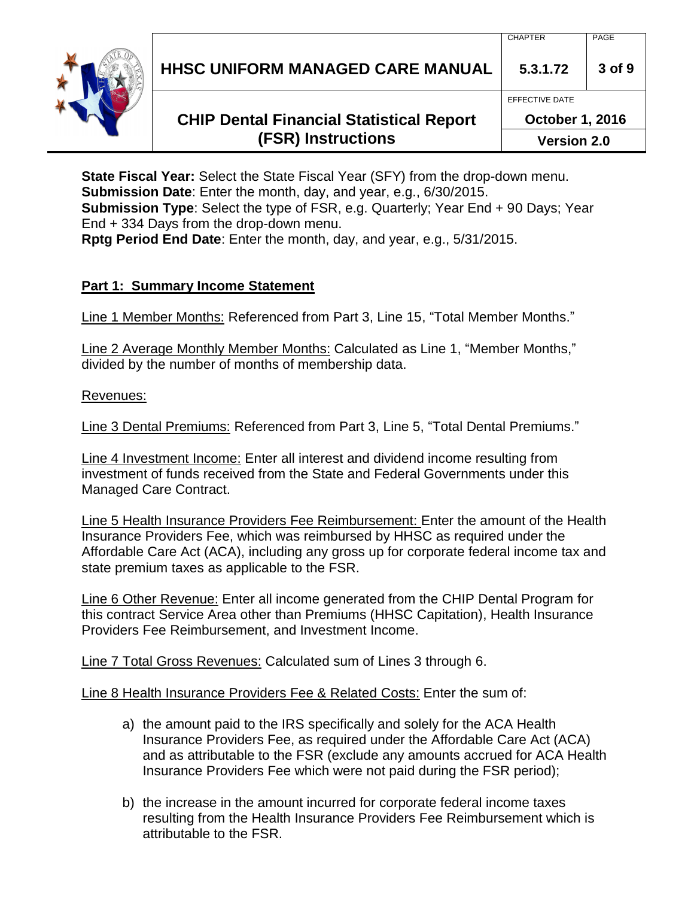**HHSC UNIFORM MANAGED CARE MANUAL 5.3.1.72 3 of 9**

## **CHIP Dental Financial Statistical Report (FSR) Instructions**

EFFECTIVE DATE

**October 1, 2016**

**Version 2.0**

**State Fiscal Year:** Select the State Fiscal Year (SFY) from the drop-down menu. **Submission Date**: Enter the month, day, and year, e.g., 6/30/2015. **Submission Type**: Select the type of FSR, e.g. Quarterly; Year End + 90 Days; Year End + 334 Days from the drop-down menu.

**Rptg Period End Date**: Enter the month, day, and year, e.g., 5/31/2015.

### **Part 1: Summary Income Statement**

Line 1 Member Months: Referenced from Part 3, Line 15, "Total Member Months."

Line 2 Average Monthly Member Months: Calculated as Line 1, "Member Months," divided by the number of months of membership data.

#### Revenues:

Line 3 Dental Premiums: Referenced from Part 3, Line 5, "Total Dental Premiums."

Line 4 Investment Income: Enter all interest and dividend income resulting from investment of funds received from the State and Federal Governments under this Managed Care Contract.

Line 5 Health Insurance Providers Fee Reimbursement: Enter the amount of the Health Insurance Providers Fee, which was reimbursed by HHSC as required under the Affordable Care Act (ACA), including any gross up for corporate federal income tax and state premium taxes as applicable to the FSR.

Line 6 Other Revenue: Enter all income generated from the CHIP Dental Program for this contract Service Area other than Premiums (HHSC Capitation), Health Insurance Providers Fee Reimbursement, and Investment Income.

Line 7 Total Gross Revenues: Calculated sum of Lines 3 through 6.

Line 8 Health Insurance Providers Fee & Related Costs: Enter the sum of:

- a) the amount paid to the IRS specifically and solely for the ACA Health Insurance Providers Fee, as required under the Affordable Care Act (ACA) and as attributable to the FSR (exclude any amounts accrued for ACA Health Insurance Providers Fee which were not paid during the FSR period);
- b) the increase in the amount incurred for corporate federal income taxes resulting from the Health Insurance Providers Fee Reimbursement which is attributable to the FSR.

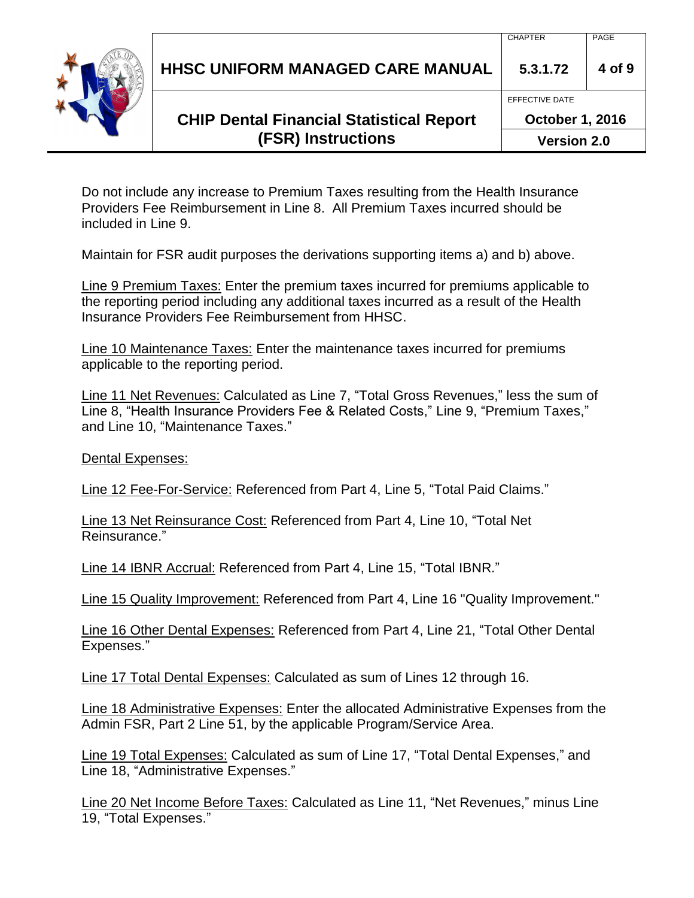**HHSC UNIFORM MANAGED CARE MANUAL 5.3.1.72 4 of 9**

## **CHIP Dental Financial Statistical Report (FSR) Instructions**

**October 1, 2016**

EFFECTIVE DATE

**Version 2.0**

Do not include any increase to Premium Taxes resulting from the Health Insurance Providers Fee Reimbursement in Line 8. All Premium Taxes incurred should be included in Line 9.

Maintain for FSR audit purposes the derivations supporting items a) and b) above.

Line 9 Premium Taxes: Enter the premium taxes incurred for premiums applicable to the reporting period including any additional taxes incurred as a result of the Health Insurance Providers Fee Reimbursement from HHSC.

Line 10 Maintenance Taxes: Enter the maintenance taxes incurred for premiums applicable to the reporting period.

Line 11 Net Revenues: Calculated as Line 7, "Total Gross Revenues," less the sum of Line 8, "Health Insurance Providers Fee & Related Costs," Line 9, "Premium Taxes," and Line 10, "Maintenance Taxes."

Dental Expenses:

Line 12 Fee-For-Service: Referenced from Part 4, Line 5, "Total Paid Claims."

Line 13 Net Reinsurance Cost: Referenced from Part 4, Line 10, "Total Net Reinsurance."

Line 14 IBNR Accrual: Referenced from Part 4, Line 15, "Total IBNR."

Line 15 Quality Improvement: Referenced from Part 4, Line 16 "Quality Improvement."

Line 16 Other Dental Expenses: Referenced from Part 4, Line 21, "Total Other Dental Expenses."

Line 17 Total Dental Expenses: Calculated as sum of Lines 12 through 16.

Line 18 Administrative Expenses: Enter the allocated Administrative Expenses from the Admin FSR, Part 2 Line 51, by the applicable Program/Service Area.

Line 19 Total Expenses: Calculated as sum of Line 17, "Total Dental Expenses," and Line 18, "Administrative Expenses."

Line 20 Net Income Before Taxes: Calculated as Line 11, "Net Revenues," minus Line 19, "Total Expenses."

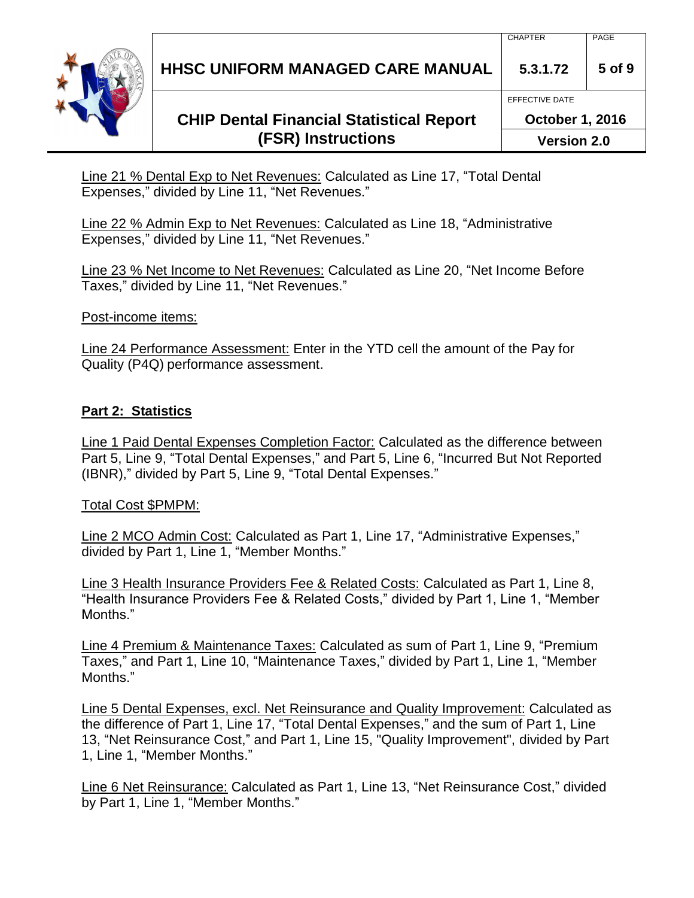**HHSC UNIFORM MANAGED CARE MANUAL 5.3.1.72 5 of 9**

## **CHIP Dental Financial Statistical Report (FSR) Instructions**

Line 21 % Dental Exp to Net Revenues: Calculated as Line 17, "Total Dental Expenses," divided by Line 11, "Net Revenues."

Line 22 % Admin Exp to Net Revenues: Calculated as Line 18, "Administrative Expenses," divided by Line 11, "Net Revenues."

Line 23 % Net Income to Net Revenues: Calculated as Line 20, "Net Income Before Taxes," divided by Line 11, "Net Revenues."

Post-income items:

Line 24 Performance Assessment: Enter in the YTD cell the amount of the Pay for Quality (P4Q) performance assessment.

### **Part 2: Statistics**

Line 1 Paid Dental Expenses Completion Factor: Calculated as the difference between Part 5, Line 9, "Total Dental Expenses," and Part 5, Line 6, "Incurred But Not Reported (IBNR)," divided by Part 5, Line 9, "Total Dental Expenses."

#### Total Cost \$PMPM:

Line 2 MCO Admin Cost: Calculated as Part 1, Line 17, "Administrative Expenses," divided by Part 1, Line 1, "Member Months."

Line 3 Health Insurance Providers Fee & Related Costs: Calculated as Part 1, Line 8, "Health Insurance Providers Fee & Related Costs," divided by Part 1, Line 1, "Member Months."

Line 4 Premium & Maintenance Taxes: Calculated as sum of Part 1, Line 9, "Premium Taxes," and Part 1, Line 10, "Maintenance Taxes," divided by Part 1, Line 1, "Member Months."

Line 5 Dental Expenses, excl. Net Reinsurance and Quality Improvement: Calculated as the difference of Part 1, Line 17, "Total Dental Expenses," and the sum of Part 1, Line 13, "Net Reinsurance Cost," and Part 1, Line 15, "Quality Improvement", divided by Part 1, Line 1, "Member Months."

Line 6 Net Reinsurance: Calculated as Part 1, Line 13, "Net Reinsurance Cost," divided by Part 1, Line 1, "Member Months."



EFFECTIVE DATE

**October 1, 2016**

**Version 2.0**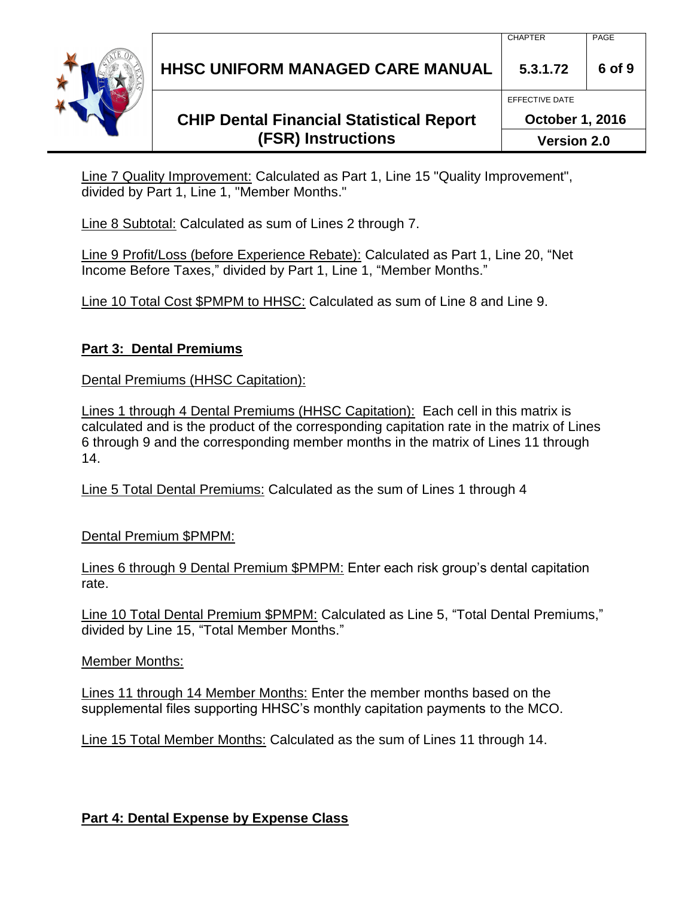**HHSC UNIFORM MANAGED CARE MANUAL 5.3.1.72 6 of 9**

## **CHIP Dental Financial Statistical Report (FSR) Instructions**

**October 1, 2016 Version 2.0**

EFFECTIVE DATE

Line 7 Quality Improvement: Calculated as Part 1, Line 15 "Quality Improvement", divided by Part 1, Line 1, "Member Months."

Line 8 Subtotal: Calculated as sum of Lines 2 through 7.

Line 9 Profit/Loss (before Experience Rebate): Calculated as Part 1, Line 20, "Net Income Before Taxes," divided by Part 1, Line 1, "Member Months."

Line 10 Total Cost \$PMPM to HHSC: Calculated as sum of Line 8 and Line 9.

### **Part 3: Dental Premiums**

Dental Premiums (HHSC Capitation):

Lines 1 through 4 Dental Premiums (HHSC Capitation): Each cell in this matrix is calculated and is the product of the corresponding capitation rate in the matrix of Lines 6 through 9 and the corresponding member months in the matrix of Lines 11 through 14.

Line 5 Total Dental Premiums: Calculated as the sum of Lines 1 through 4

Dental Premium \$PMPM:

Lines 6 through 9 Dental Premium \$PMPM: Enter each risk group's dental capitation rate.

Line 10 Total Dental Premium \$PMPM: Calculated as Line 5, "Total Dental Premiums," divided by Line 15, "Total Member Months."

Member Months:

Lines 11 through 14 Member Months: Enter the member months based on the supplemental files supporting HHSC's monthly capitation payments to the MCO.

Line 15 Total Member Months: Calculated as the sum of Lines 11 through 14.

### **Part 4: Dental Expense by Expense Class**

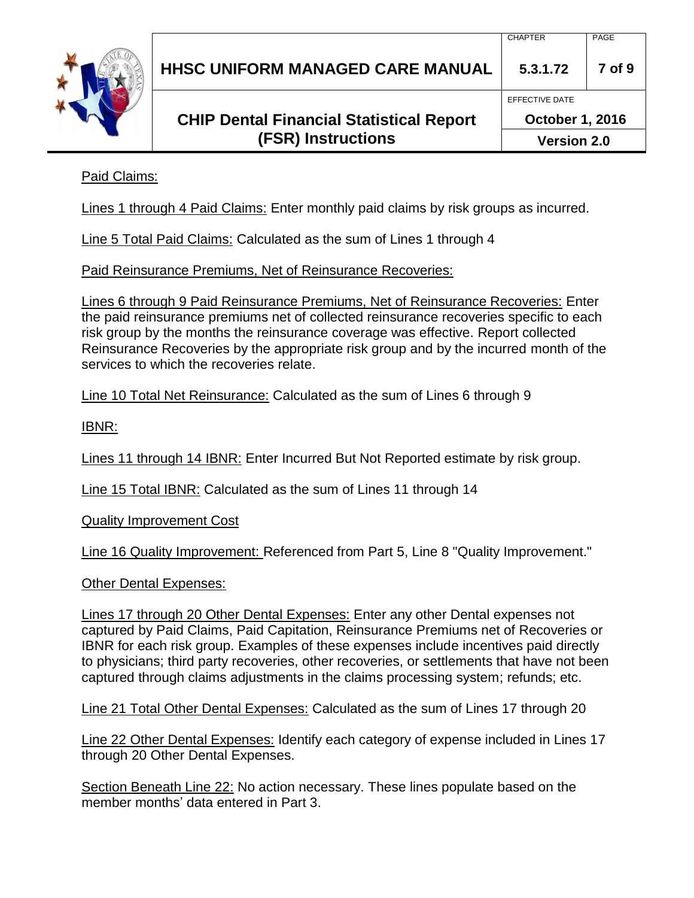| <b>HHSC UNIFORM MANAGED CARE MANUAL</b> |  |
|-----------------------------------------|--|
|                                         |  |

### **CHIP Dental Financial Statistical Report (FSR) Instructions**

EFFECTIVE DATE

Paid Claims:

Lines 1 through 4 Paid Claims: Enter monthly paid claims by risk groups as incurred.

Line 5 Total Paid Claims: Calculated as the sum of Lines 1 through 4

Paid Reinsurance Premiums, Net of Reinsurance Recoveries:

Lines 6 through 9 Paid Reinsurance Premiums, Net of Reinsurance Recoveries: Enter the paid reinsurance premiums net of collected reinsurance recoveries specific to each risk group by the months the reinsurance coverage was effective. Report collected Reinsurance Recoveries by the appropriate risk group and by the incurred month of the services to which the recoveries relate.

Line 10 Total Net Reinsurance: Calculated as the sum of Lines 6 through 9

IBNR:

Lines 11 through 14 IBNR: Enter Incurred But Not Reported estimate by risk group.

Line 15 Total IBNR: Calculated as the sum of Lines 11 through 14

Quality Improvement Cost

Line 16 Quality Improvement: Referenced from Part 5, Line 8 "Quality Improvement."

Other Dental Expenses:

Lines 17 through 20 Other Dental Expenses: Enter any other Dental expenses not captured by Paid Claims, Paid Capitation, Reinsurance Premiums net of Recoveries or IBNR for each risk group. Examples of these expenses include incentives paid directly to physicians; third party recoveries, other recoveries, or settlements that have not been captured through claims adjustments in the claims processing system; refunds; etc.

Line 21 Total Other Dental Expenses: Calculated as the sum of Lines 17 through 20

Line 22 Other Dental Expenses: Identify each category of expense included in Lines 17 through 20 Other Dental Expenses.

Section Beneath Line 22: No action necessary. These lines populate based on the member months' data entered in Part 3.

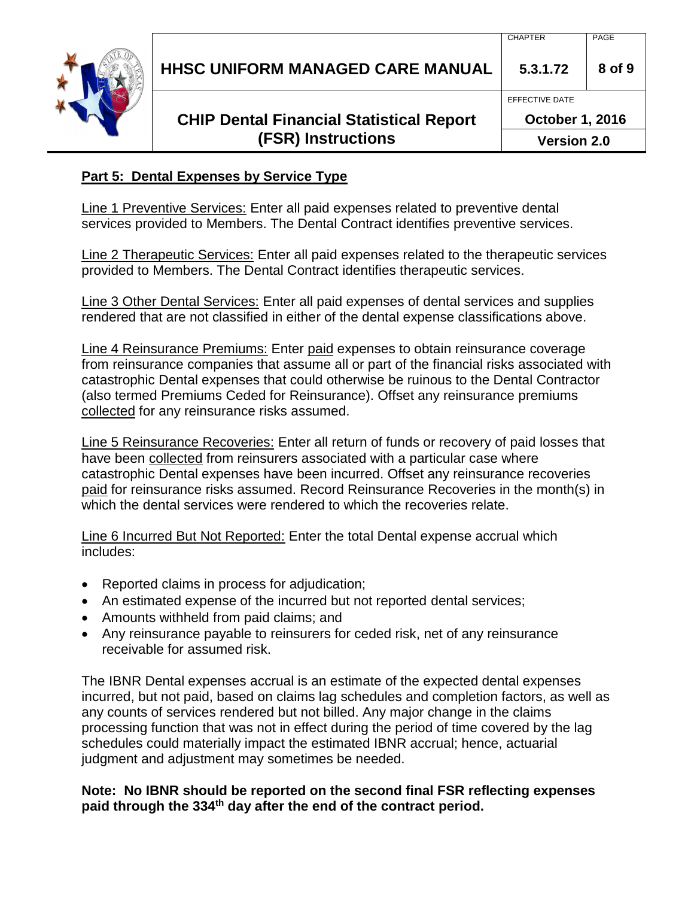| <b>CHAPTER</b> | PAGE |
|----------------|------|
|                |      |



## **HHSC UNIFORM MANAGED CARE MANUAL 5.3.1.72 8 of 9**

### **CHIP Dental Financial Statistical Report (FSR) Instructions**

EFFECTIVE DATE

**October 1, 2016**

**Version 2.0**

### **Part 5: Dental Expenses by Service Type**

Line 1 Preventive Services: Enter all paid expenses related to preventive dental services provided to Members. The Dental Contract identifies preventive services.

Line 2 Therapeutic Services: Enter all paid expenses related to the therapeutic services provided to Members. The Dental Contract identifies therapeutic services.

Line 3 Other Dental Services: Enter all paid expenses of dental services and supplies rendered that are not classified in either of the dental expense classifications above.

Line 4 Reinsurance Premiums: Enter paid expenses to obtain reinsurance coverage from reinsurance companies that assume all or part of the financial risks associated with catastrophic Dental expenses that could otherwise be ruinous to the Dental Contractor (also termed Premiums Ceded for Reinsurance). Offset any reinsurance premiums collected for any reinsurance risks assumed.

Line 5 Reinsurance Recoveries: Enter all return of funds or recovery of paid losses that have been collected from reinsurers associated with a particular case where catastrophic Dental expenses have been incurred. Offset any reinsurance recoveries paid for reinsurance risks assumed. Record Reinsurance Recoveries in the month(s) in which the dental services were rendered to which the recoveries relate.

Line 6 Incurred But Not Reported: Enter the total Dental expense accrual which includes:

- Reported claims in process for adjudication;
- An estimated expense of the incurred but not reported dental services;
- Amounts withheld from paid claims; and
- Any reinsurance payable to reinsurers for ceded risk, net of any reinsurance receivable for assumed risk.

The IBNR Dental expenses accrual is an estimate of the expected dental expenses incurred, but not paid, based on claims lag schedules and completion factors, as well as any counts of services rendered but not billed. Any major change in the claims processing function that was not in effect during the period of time covered by the lag schedules could materially impact the estimated IBNR accrual; hence, actuarial judgment and adjustment may sometimes be needed.

#### **Note: No IBNR should be reported on the second final FSR reflecting expenses paid through the 334th day after the end of the contract period.**